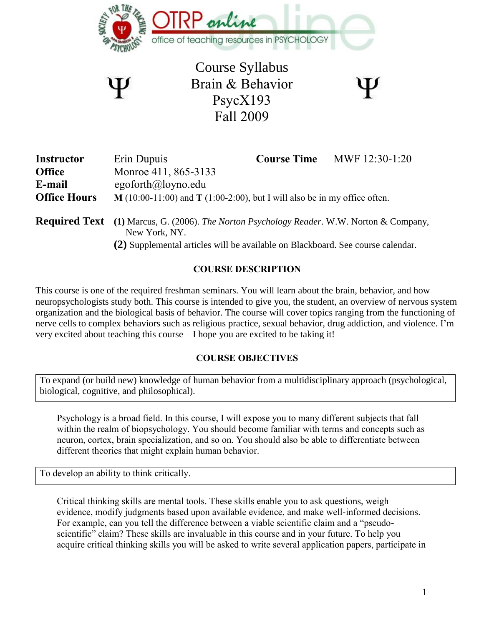

Course Syllabus Brain & Behavior PsycX193 Fall 2009

| ï                     |
|-----------------------|
| ١<br>١<br>×<br>×<br>۰ |
|                       |
|                       |

| <b>Instructor</b>   | Erin Dupuis                                                                                                       | <b>Course Time</b> | MWF 12:30-1:20 |
|---------------------|-------------------------------------------------------------------------------------------------------------------|--------------------|----------------|
| <b>Office</b>       | Monroe 411, 865-3133                                                                                              |                    |                |
| E-mail              | egoforth@loyno.edu                                                                                                |                    |                |
| <b>Office Hours</b> | $M(10:00-11:00)$ and T (1:00-2:00), but I will also be in my office often.                                        |                    |                |
|                     | <b>Required Text</b> (1) Marcus, G. (2006). The Norton Psychology Reader. W.W. Norton & Company,<br>New York, NY. |                    |                |

**(2)** Supplemental articles will be available on Blackboard. See course calendar.

## **COURSE DESCRIPTION**

This course is one of the required freshman seminars. You will learn about the brain, behavior, and how neuropsychologists study both. This course is intended to give you, the student, an overview of nervous system organization and the biological basis of behavior. The course will cover topics ranging from the functioning of nerve cells to complex behaviors such as religious practice, sexual behavior, drug addiction, and violence. I'm very excited about teaching this course – I hope you are excited to be taking it!

## **COURSE OBJECTIVES**

To expand (or build new) knowledge of human behavior from a multidisciplinary approach (psychological, biological, cognitive, and philosophical).

Psychology is a broad field. In this course, I will expose you to many different subjects that fall within the realm of biopsychology. You should become familiar with terms and concepts such as neuron, cortex, brain specialization, and so on. You should also be able to differentiate between different theories that might explain human behavior.

To develop an ability to think critically.

Critical thinking skills are mental tools. These skills enable you to ask questions, weigh evidence, modify judgments based upon available evidence, and make well-informed decisions. For example, can you tell the difference between a viable scientific claim and a "pseudoscientific" claim? These skills are invaluable in this course and in your future. To help you acquire critical thinking skills you will be asked to write several application papers, participate in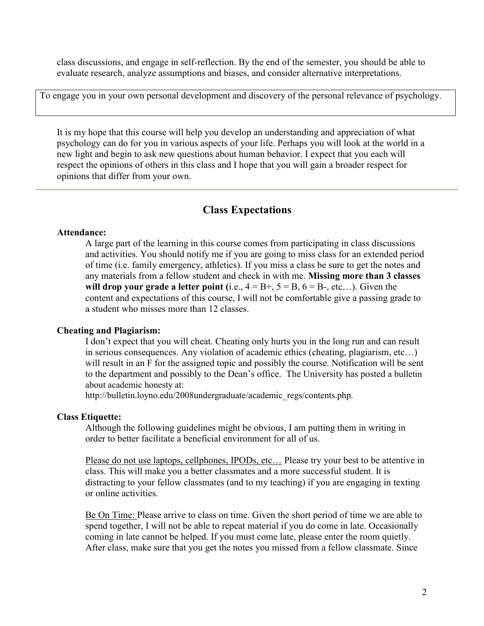class discussions, and engage in self-reflection. By the end of the semester, you should be able to evaluate research, analyze assumptions and biases, and consider alternative interpretations.

To engage you in your own personal development and discovery of the personal relevance of psychology.

It is my hope that this course will help you develop an understanding and appreciation of what psychology can do for you in various aspects of your life. Perhaps you will look at the world in a new light and begin to ask new questions about human behavior. I expect that you each will respect the opinions of others in this class and I hope that you will gain a broader respect for opinions that differ from your own.

# **Class Expectations**

### **Attendance:**

A large part of the learning in this course comes from participating in class discussions and activities. You should notify me if you are going to miss class for an extended period of time (i.e. family emergency, athletics). If you miss a class be sure to get the notes and any materials from a fellow student and check in with me. **Missing more than 3 classes will drop your grade a letter point** (i.e.,  $4 = B + 5 = B$ ,  $6 = B - 5$ , etc...). Given the content and expectations of this course, I will not be comfortable give a passing grade to a student who misses more than 12 classes.

## **Cheating and Plagiarism:**

I don't expect that you will cheat. Cheating only hurts you in the long run and can result in serious consequences. Any violation of academic ethics (cheating, plagiarism, etc…) will result in an F for the assigned topic and possibly the course. Notification will be sent to the department and possibly to the Dean's office. The University has posted a bulletin about academic honesty at:

http://bulletin.loyno.edu/2008undergraduate/academic\_regs/contents.php.

#### **Class Etiquette:**

Although the following guidelines might be obvious, I am putting them in writing in order to better facilitate a beneficial environment for all of us.

Please do not use laptops, cellphones, IPODs, etc... Please try your best to be attentive in class. This will make you a better classmates and a more successful student. It is distracting to your fellow classmates (and to my teaching) if you are engaging in texting or online activities.

Be On Time: Please arrive to class on time. Given the short period of time we are able to spend together, I will not be able to repeat material if you do come in late. Occasionally coming in late cannot be helped. If you must come late, please enter the room quietly. After class, make sure that you get the notes you missed from a fellow classmate. Since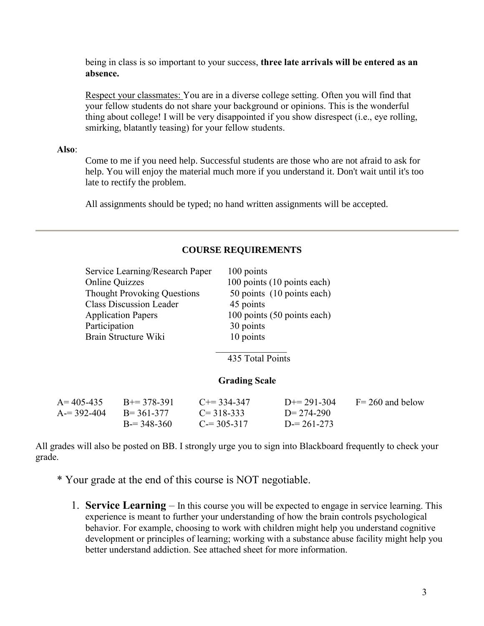being in class is so important to your success, **three late arrivals will be entered as an absence.**

Respect your classmates: You are in a diverse college setting. Often you will find that your fellow students do not share your background or opinions. This is the wonderful thing about college! I will be very disappointed if you show disrespect (i.e., eye rolling, smirking, blatantly teasing) for your fellow students.

#### **Also**:

Come to me if you need help. Successful students are those who are not afraid to ask for help. You will enjoy the material much more if you understand it. Don't wait until it's too late to rectify the problem.

All assignments should be typed; no hand written assignments will be accepted.

|                 | Service Learning/Research Paper    | 100 points            |                             |                     |
|-----------------|------------------------------------|-----------------------|-----------------------------|---------------------|
|                 | <b>Online Quizzes</b>              |                       | 100 points (10 points each) |                     |
|                 | <b>Thought Provoking Questions</b> |                       | 50 points (10 points each)  |                     |
|                 | <b>Class Discussion Leader</b>     | 45 points             |                             |                     |
|                 | <b>Application Papers</b>          |                       | 100 points (50 points each) |                     |
| Participation   |                                    | 30 points             |                             |                     |
|                 | Brain Structure Wiki               | 10 points             |                             |                     |
|                 |                                    |                       |                             |                     |
|                 |                                    | 435 Total Points      |                             |                     |
|                 |                                    |                       |                             |                     |
|                 |                                    | <b>Grading Scale</b>  |                             |                     |
| $A = 405 - 435$ | $B+=378-391$                       | $C_{\pm} = 334 - 347$ | $D == 291-304$              | $F = 260$ and below |
| $A = 392 - 404$ | $B = 361 - 377$                    | $C = 318 - 333$       | $D = 274 - 290$             |                     |
|                 | $B = 348 - 360$                    | $C = 305 - 317$       | $D = 261 - 273$             |                     |

#### **COURSE REQUIREMENTS**

All grades will also be posted on BB. I strongly urge you to sign into Blackboard frequently to check your grade.

- \* Your grade at the end of this course is NOT negotiable.
	- 1. **Service Learning** In this course you will be expected to engage in service learning. This experience is meant to further your understanding of how the brain controls psychological behavior. For example, choosing to work with children might help you understand cognitive development or principles of learning; working with a substance abuse facility might help you better understand addiction. See attached sheet for more information.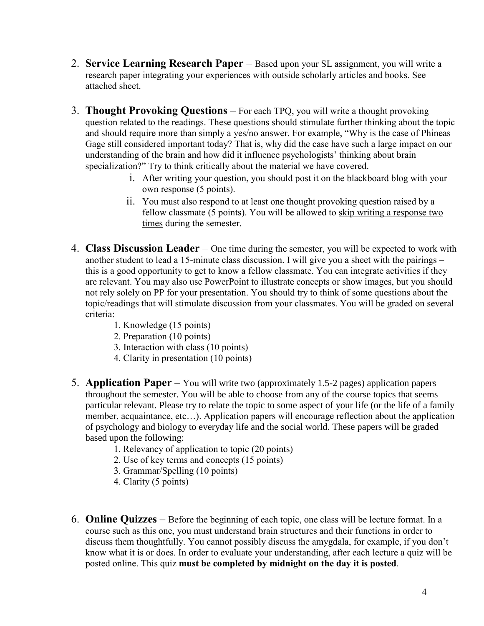- 2. **Service Learning Research Paper** Based upon your SL assignment, you will write a research paper integrating your experiences with outside scholarly articles and books. See attached sheet.
- 3. **Thought Provoking Questions** For each TPQ, you will write a thought provoking question related to the readings. These questions should stimulate further thinking about the topic and should require more than simply a yes/no answer. For example, "Why is the case of Phineas Gage still considered important today? That is, why did the case have such a large impact on our understanding of the brain and how did it influence psychologists' thinking about brain specialization?" Try to think critically about the material we have covered.
	- i. After writing your question, you should post it on the blackboard blog with your own response (5 points).
	- ii. You must also respond to at least one thought provoking question raised by a fellow classmate (5 points). You will be allowed to skip writing a response two times during the semester.
- 4. **Class Discussion Leader** One time during the semester, you will be expected to work with another student to lead a 15-minute class discussion. I will give you a sheet with the pairings – this is a good opportunity to get to know a fellow classmate. You can integrate activities if they are relevant. You may also use PowerPoint to illustrate concepts or show images, but you should not rely solely on PP for your presentation. You should try to think of some questions about the topic/readings that will stimulate discussion from your classmates. You will be graded on several criteria:
	- 1. Knowledge (15 points)
	- 2. Preparation (10 points)
	- 3. Interaction with class (10 points)
	- 4. Clarity in presentation (10 points)
- 5. **Application Paper** You will write two (approximately 1.5-2 pages) application papers throughout the semester. You will be able to choose from any of the course topics that seems particular relevant. Please try to relate the topic to some aspect of your life (or the life of a family member, acquaintance, etc…). Application papers will encourage reflection about the application of psychology and biology to everyday life and the social world. These papers will be graded based upon the following:
	- 1. Relevancy of application to topic (20 points)
	- 2. Use of key terms and concepts (15 points)
	- 3. Grammar/Spelling (10 points)
	- 4. Clarity (5 points)
- 6. **Online Quizzes** Before the beginning of each topic, one class will be lecture format. In a course such as this one, you must understand brain structures and their functions in order to discuss them thoughtfully. You cannot possibly discuss the amygdala, for example, if you don't know what it is or does. In order to evaluate your understanding, after each lecture a quiz will be posted online. This quiz **must be completed by midnight on the day it is posted**.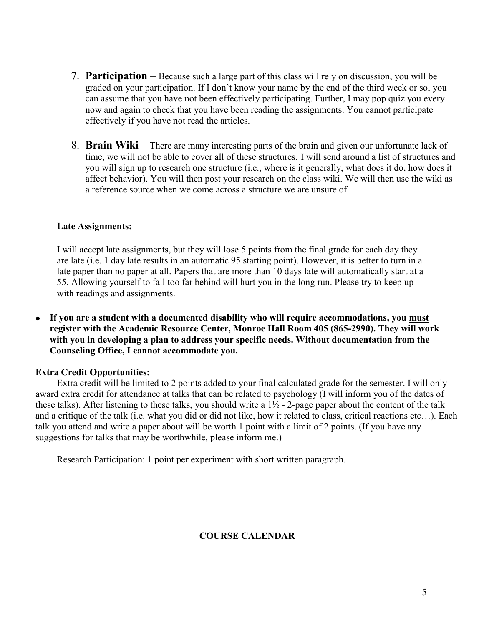- 7. **Participation** Because such a large part of this class will rely on discussion, you will be graded on your participation. If I don't know your name by the end of the third week or so, you can assume that you have not been effectively participating. Further, I may pop quiz you every now and again to check that you have been reading the assignments. You cannot participate effectively if you have not read the articles.
- 8. **Brain Wiki –** There are many interesting parts of the brain and given our unfortunate lack of time, we will not be able to cover all of these structures. I will send around a list of structures and you will sign up to research one structure (i.e., where is it generally, what does it do, how does it affect behavior). You will then post your research on the class wiki. We will then use the wiki as a reference source when we come across a structure we are unsure of.

#### **Late Assignments:**

I will accept late assignments, but they will lose 5 points from the final grade for each day they are late (i.e. 1 day late results in an automatic 95 starting point). However, it is better to turn in a late paper than no paper at all. Papers that are more than 10 days late will automatically start at a 55. Allowing yourself to fall too far behind will hurt you in the long run. Please try to keep up with readings and assignments.

**If you are a student with a documented disability who will require accommodations, you must**  $\bullet$ **register with the Academic Resource Center, Monroe Hall Room 405 (865-2990). They will work with you in developing a plan to address your specific needs. Without documentation from the Counseling Office, I cannot accommodate you.**

#### **Extra Credit Opportunities:**

Extra credit will be limited to 2 points added to your final calculated grade for the semester. I will only award extra credit for attendance at talks that can be related to psychology (I will inform you of the dates of these talks). After listening to these talks, you should write a  $1\frac{1}{2}$  - 2-page paper about the content of the talk and a critique of the talk (i.e. what you did or did not like, how it related to class, critical reactions etc…). Each talk you attend and write a paper about will be worth 1 point with a limit of 2 points. (If you have any suggestions for talks that may be worthwhile, please inform me.)

Research Participation: 1 point per experiment with short written paragraph.

#### **COURSE CALENDAR**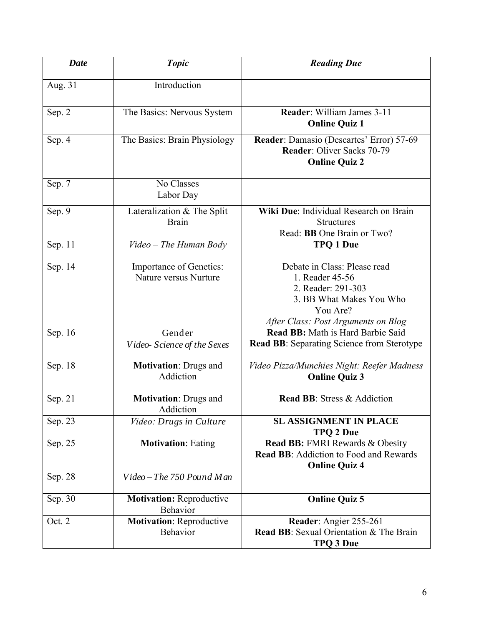| <b>Date</b> | <b>Topic</b>                                     | <b>Reading Due</b>                                                                                                                                   |
|-------------|--------------------------------------------------|------------------------------------------------------------------------------------------------------------------------------------------------------|
| Aug. 31     | Introduction                                     |                                                                                                                                                      |
| Sep. 2      | The Basics: Nervous System                       | Reader: William James 3-11<br><b>Online Quiz 1</b>                                                                                                   |
| Sep. 4      | The Basics: Brain Physiology                     | Reader: Damasio (Descartes' Error) 57-69<br>Reader: Oliver Sacks 70-79<br><b>Online Quiz 2</b>                                                       |
| Sep. 7      | No Classes<br>Labor Day                          |                                                                                                                                                      |
| Sep. 9      | Lateralization & The Split<br><b>Brain</b>       | Wiki Due: Individual Research on Brain<br><b>Structures</b><br>Read: BB One Brain or Two?                                                            |
| Sep. 11     | Video - The Human Body                           | <b>TPO 1 Due</b>                                                                                                                                     |
| Sep. 14     | Importance of Genetics:<br>Nature versus Nurture | Debate in Class: Please read<br>1. Reader 45-56<br>2. Reader: 291-303<br>3. BB What Makes You Who<br>You Are?<br>After Class: Post Arguments on Blog |
| Sep. 16     | Gender<br>Video-Science of the Sexes             | Read BB: Math is Hard Barbie Said<br><b>Read BB:</b> Separating Science from Sterotype                                                               |
| Sep. 18     | <b>Motivation: Drugs and</b><br>Addiction        | Video Pizza/Munchies Night: Reefer Madness<br><b>Online Quiz 3</b>                                                                                   |
| Sep. 21     | <b>Motivation: Drugs and</b><br>Addiction        | Read BB: Stress & Addiction                                                                                                                          |
| Sep. 23     | Video: Drugs in Culture                          | <b>SL ASSIGNMENT IN PLACE</b><br><b>TPQ 2 Due</b>                                                                                                    |
| Sep. 25     | <b>Motivation: Eating</b>                        | <b>Read BB: FMRI Rewards &amp; Obesity</b><br><b>Read BB:</b> Addiction to Food and Rewards<br><b>Online Quiz 4</b>                                  |
| Sep. 28     | $Video$ – The 750 Pound Man                      |                                                                                                                                                      |
| Sep. 30     | <b>Motivation: Reproductive</b><br>Behavior      | <b>Online Quiz 5</b>                                                                                                                                 |
| Oct. 2      | <b>Motivation: Reproductive</b><br>Behavior      | Reader: Angier 255-261<br><b>Read BB:</b> Sexual Orientation & The Brain<br>TPQ 3 Due                                                                |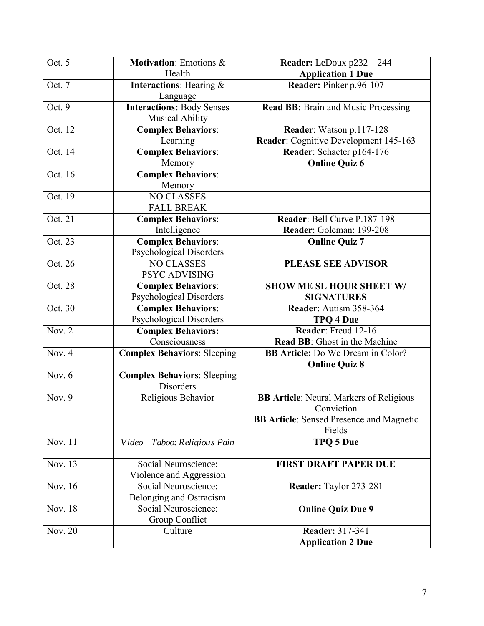| Oct. 5   | Motivation: Emotions &             | Reader: LeDoux p232 - 244                       |
|----------|------------------------------------|-------------------------------------------------|
|          | Health                             | <b>Application 1 Due</b>                        |
| Oct. 7   | <b>Interactions:</b> Hearing &     | Reader: Pinker p.96-107                         |
|          | Language                           |                                                 |
| Oct. 9   | <b>Interactions: Body Senses</b>   | Read BB: Brain and Music Processing             |
|          | <b>Musical Ability</b>             |                                                 |
| Oct. 12  | <b>Complex Behaviors:</b>          | Reader: Watson p.117-128                        |
|          | Learning                           | Reader: Cognitive Development 145-163           |
| Oct. 14  | <b>Complex Behaviors:</b>          | Reader: Schacter p164-176                       |
|          | Memory                             | <b>Online Quiz 6</b>                            |
| Oct. 16  | <b>Complex Behaviors:</b>          |                                                 |
|          | Memory                             |                                                 |
| Oct. 19  | <b>NO CLASSES</b>                  |                                                 |
|          | <b>FALL BREAK</b>                  |                                                 |
| Oct. 21  | <b>Complex Behaviors:</b>          | Reader: Bell Curve P.187-198                    |
|          | Intelligence                       | Reader: Goleman: 199-208                        |
| Oct. 23  | <b>Complex Behaviors:</b>          | <b>Online Quiz 7</b>                            |
|          | Psychological Disorders            |                                                 |
| Oct. 26  | <b>NO CLASSES</b>                  | <b>PLEASE SEE ADVISOR</b>                       |
|          | PSYC ADVISING                      |                                                 |
| Oct. 28  | <b>Complex Behaviors:</b>          | <b>SHOW ME SL HOUR SHEET W/</b>                 |
|          | <b>Psychological Disorders</b>     | <b>SIGNATURES</b>                               |
| Oct. 30  | <b>Complex Behaviors:</b>          | Reader: Autism 358-364                          |
|          | <b>Psychological Disorders</b>     | <b>TPQ 4 Due</b>                                |
| Nov. 2   | <b>Complex Behaviors:</b>          | Reader: Freud 12-16                             |
|          | Consciousness                      | <b>Read BB:</b> Ghost in the Machine            |
| Nov. $4$ | <b>Complex Behaviors: Sleeping</b> | <b>BB Article:</b> Do We Dream in Color?        |
|          |                                    | <b>Online Quiz 8</b>                            |
| Nov. $6$ | <b>Complex Behaviors: Sleeping</b> |                                                 |
|          | Disorders                          |                                                 |
| Nov. 9   | Religious Behavior                 | <b>BB Article:</b> Neural Markers of Religious  |
|          |                                    | Conviction                                      |
|          |                                    | <b>BB Article:</b> Sensed Presence and Magnetic |
|          |                                    | Fields                                          |
| Nov. 11  | Video - Taboo: Religious Pain      | <b>TPQ 5 Due</b>                                |
| Nov. 13  | Social Neuroscience:               | <b>FIRST DRAFT PAPER DUE</b>                    |
|          | Violence and Aggression            |                                                 |
| Nov. 16  | Social Neuroscience:               | Reader: Taylor 273-281                          |
|          | Belonging and Ostracism            |                                                 |
| Nov. 18  | Social Neuroscience:               | <b>Online Quiz Due 9</b>                        |
|          | Group Conflict                     |                                                 |
| Nov. 20  | Culture                            | <b>Reader: 317-341</b>                          |
|          |                                    | <b>Application 2 Due</b>                        |
|          |                                    |                                                 |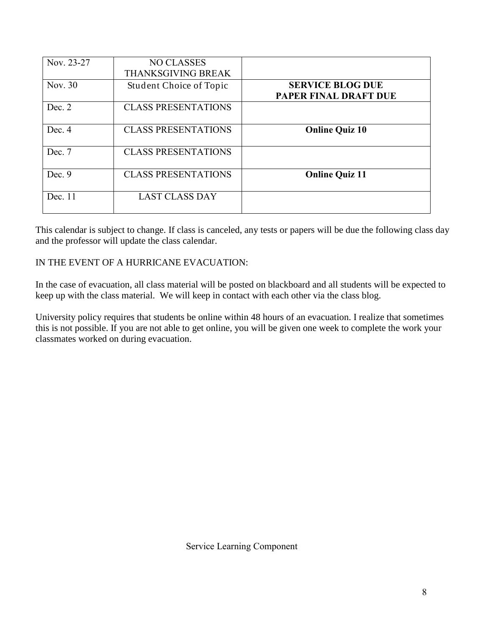| Nov. 23-27 | <b>NO CLASSES</b><br>THANKSGIVING BREAK |                                                         |
|------------|-----------------------------------------|---------------------------------------------------------|
| Nov. 30    | Student Choice of Topic                 | <b>SERVICE BLOG DUE</b><br><b>PAPER FINAL DRAFT DUE</b> |
| Dec. $2$   | <b>CLASS PRESENTATIONS</b>              |                                                         |
| Dec. 4     | <b>CLASS PRESENTATIONS</b>              | <b>Online Quiz 10</b>                                   |
| Dec. 7     | <b>CLASS PRESENTATIONS</b>              |                                                         |
| Dec. $9$   | <b>CLASS PRESENTATIONS</b>              | <b>Online Quiz 11</b>                                   |
| Dec. 11    | <b>LAST CLASS DAY</b>                   |                                                         |

This calendar is subject to change. If class is canceled, any tests or papers will be due the following class day and the professor will update the class calendar.

## IN THE EVENT OF A HURRICANE EVACUATION:

In the case of evacuation, all class material will be posted on blackboard and all students will be expected to keep up with the class material. We will keep in contact with each other via the class blog.

University policy requires that students be online within 48 hours of an evacuation. I realize that sometimes this is not possible. If you are not able to get online, you will be given one week to complete the work your classmates worked on during evacuation.

Service Learning Component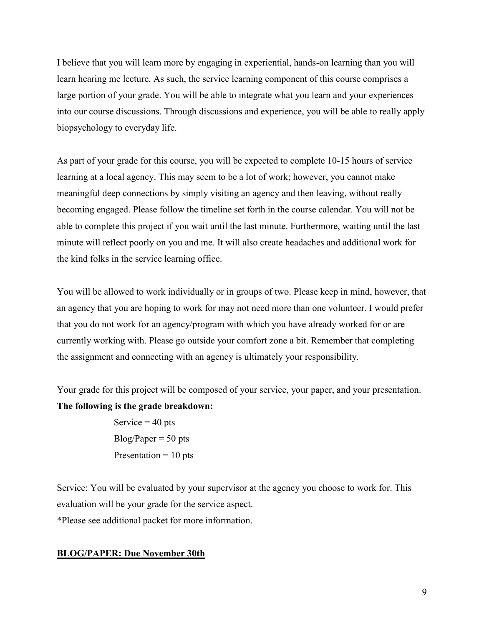I believe that you will learn more by engaging in experiential, hands-on learning than you will learn hearing me lecture. As such, the service learning component of this course comprises a large portion of your grade. You will be able to integrate what you learn and your experiences into our course discussions. Through discussions and experience, you will be able to really apply biopsychology to everyday life.

As part of your grade for this course, you will be expected to complete 10-15 hours of service learning at a local agency. This may seem to be a lot of work; however, you cannot make meaningful deep connections by simply visiting an agency and then leaving, without really becoming engaged. Please follow the timeline set forth in the course calendar. You will not be able to complete this project if you wait until the last minute. Furthermore, waiting until the last minute will reflect poorly on you and me. It will also create headaches and additional work for the kind folks in the service learning office.

You will be allowed to work individually or in groups of two. Please keep in mind, however, that an agency that you are hoping to work for may not need more than one volunteer. I would prefer that you do not work for an agency/program with which you have already worked for or are currently working with. Please go outside your comfort zone a bit. Remember that completing the assignment and connecting with an agency is ultimately your responsibility.

Your grade for this project will be composed of your service, your paper, and your presentation. **The following is the grade breakdown:**

> Service  $=$  40 pts  $Blog/Paper = 50$  pts Presentation  $= 10$  pts

Service: You will be evaluated by your supervisor at the agency you choose to work for. This evaluation will be your grade for the service aspect. \*Please see additional packet for more information.

#### **BLOG/PAPER: Due November 30th**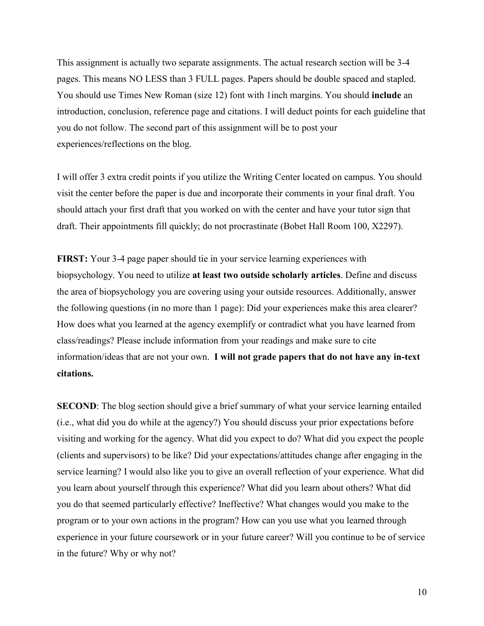This assignment is actually two separate assignments. The actual research section will be 3-4 pages. This means NO LESS than 3 FULL pages. Papers should be double spaced and stapled. You should use Times New Roman (size 12) font with 1inch margins. You should **include** an introduction, conclusion, reference page and citations. I will deduct points for each guideline that you do not follow. The second part of this assignment will be to post your experiences/reflections on the blog.

I will offer 3 extra credit points if you utilize the Writing Center located on campus. You should visit the center before the paper is due and incorporate their comments in your final draft. You should attach your first draft that you worked on with the center and have your tutor sign that draft. Their appointments fill quickly; do not procrastinate (Bobet Hall Room 100, X2297).

**FIRST:** Your 3-4 page paper should tie in your service learning experiences with biopsychology. You need to utilize **at least two outside scholarly articles**. Define and discuss the area of biopsychology you are covering using your outside resources. Additionally, answer the following questions (in no more than 1 page): Did your experiences make this area clearer? How does what you learned at the agency exemplify or contradict what you have learned from class/readings? Please include information from your readings and make sure to cite information/ideas that are not your own. **I will not grade papers that do not have any in-text citations.** 

**SECOND**: The blog section should give a brief summary of what your service learning entailed (i.e., what did you do while at the agency?) You should discuss your prior expectations before visiting and working for the agency. What did you expect to do? What did you expect the people (clients and supervisors) to be like? Did your expectations/attitudes change after engaging in the service learning? I would also like you to give an overall reflection of your experience. What did you learn about yourself through this experience? What did you learn about others? What did you do that seemed particularly effective? Ineffective? What changes would you make to the program or to your own actions in the program? How can you use what you learned through experience in your future coursework or in your future career? Will you continue to be of service in the future? Why or why not?